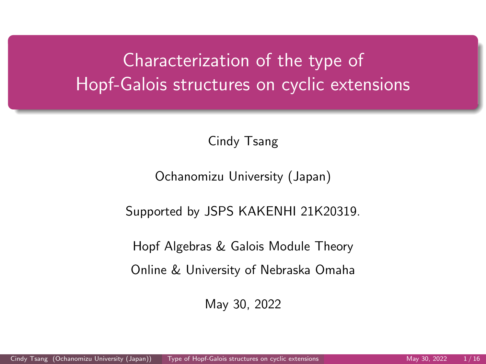# <span id="page-0-0"></span>Characterization of the type of Hopf-Galois structures on cyclic extensions

Cindy Tsang

Ochanomizu University (Japan)

Supported by JSPS KAKENHI 21K20319.

Hopf Algebras & Galois Module Theory

Online & University of Nebraska Omaha

May 30, 2022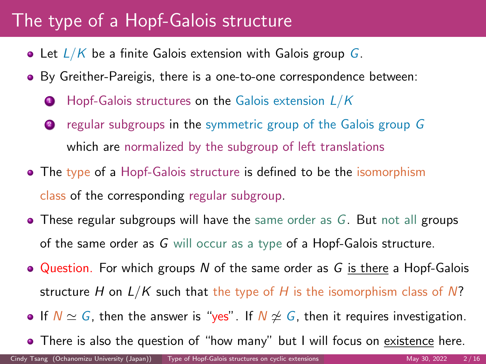# The type of a Hopf-Galois structure

- Let  $L/K$  be a finite Galois extension with Galois group G.
- By Greither-Pareigis, there is a one-to-one correspondence between:
	- $\bullet$  Hopf-Galois structures on the Galois extension  $L/K$
	- **2** regular subgroups in the symmetric group of the Galois group G which are normalized by the subgroup of left translations
- The type of a Hopf-Galois structure is defined to be the isomorphism class of the corresponding regular subgroup.
- $\bullet$  These regular subgroups will have the same order as G. But not all groups of the same order as G will occur as a type of a Hopf-Galois structure.
- $\bullet$  Question. For which groups N of the same order as G is there a Hopf-Galois structure H on  $L/K$  such that the type of H is the isomorphism class of N?
- If  $N \simeq G$ , then the answer is "yes". If  $N \not\cong G$ , then it requires investigation.
- There is also the question of "how many" but I will focus on existence here.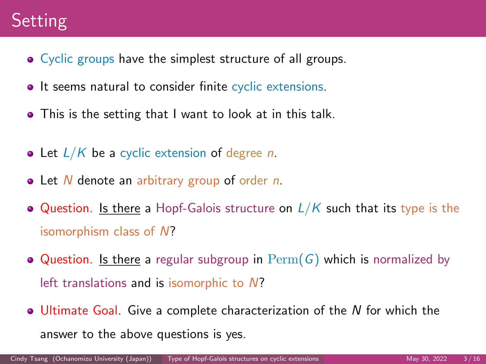# **Setting**

- Cyclic groups have the simplest structure of all groups.
- It seems natural to consider finite cyclic extensions.
- This is the setting that I want to look at in this talk.
- Let  $L/K$  be a cyclic extension of degree n.
- $\bullet$  Let N denote an arbitrary group of order n.
- Question. Is there a Hopf-Galois structure on  $L/K$  such that its type is the isomorphism class of N?
- $\bullet$  Question. Is there a regular subgroup in  $\mathrm{Perm}(G)$  which is normalized by left translations and is isomorphic to N?
- Ultimate Goal. Give a complete characterization of the N for which the answer to the above questions is yes.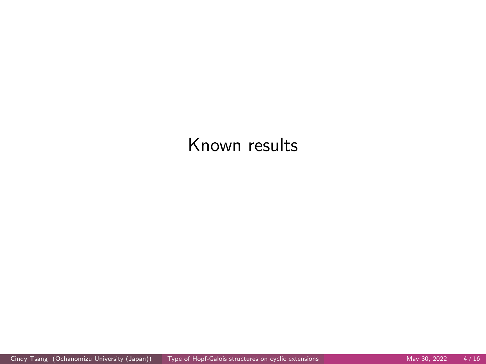# Known results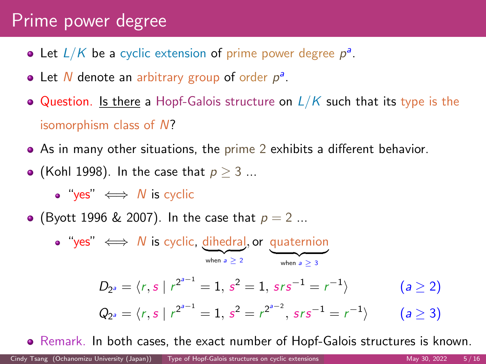### Prime power degree

- Let  $L/K$  be a cyclic extension of prime power degree  $p^a$ .
- Let N denote an arbitrary group of order  $p^a$ .
- Question. Is there a Hopf-Galois structure on  $L/K$  such that its type is the isomorphism class of N?
- As in many other situations, the prime 2 exhibits a different behavior.
- (Kohl 1998). In the case that  $p \geq 3$  ...

 $\bullet$  "yes"  $\iff N$  is cyclic

• (Byott 1996 & 2007). In the case that  $p = 2$  ...

"yes"  $\iff N$  is cyclic, dihedral, or quaternion when  $a \ge 2$  when  $a \ge 3$  $D_{2^a} = \langle r, s \mid r^{2^{a-1}} = 1, s^2 = 1, srs^{-1} = r^{-1}$  $(a > 2)$  $Q_{2^a} = \langle r, s \mid r^{2^{a-1}} = 1, s^2 = r^{2^{a-2}}, srs^{-1} = r^{-1}$  $(a \geq 3)$ 

Remark. In both cases, the exact number of Hopf-Galois structures is known.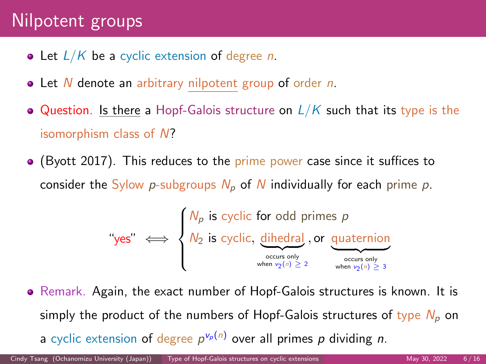## Nilpotent groups

- Let  $L/K$  be a cyclic extension of degree n.
- Let N denote an arbitrary nilpotent group of order n.
- Question. Is there a Hopf-Galois structure on  $L/K$  such that its type is the isomorphism class of N?
- $\bullet$  (Byott 2017). This reduces to the prime power case since it suffices to consider the Sylow p-subgroups  $N_p$  of N individually for each prime p.

$$
\text{``yes''} \iff \begin{cases} N_p \text{ is cyclic for odd primes } p \\ N_2 \text{ is cyclic, } \underbrace{\text{dihedral}}_{\text{oceurs only}} \text{, or } \underbrace{\text{quaternion}}_{\text{ocurs only}} \\ \text{``when } v_2(n) \geq 2 \end{cases}
$$

• Remark. Again, the exact number of Hopf-Galois structures is known. It is simply the product of the numbers of Hopf-Galois structures of type  $N_p$  on a cyclic extension of degree  $p^{\nu_p(n)}$  over all primes p dividing n.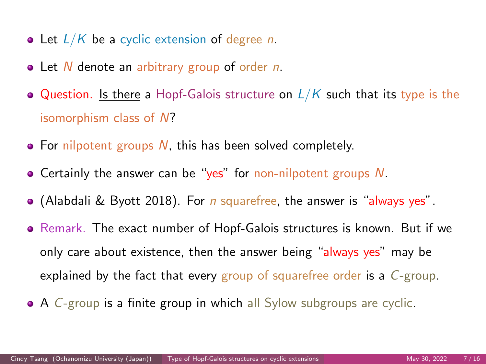- Let  $L/K$  be a cyclic extension of degree n.
- Let N denote an arbitrary group of order n.
- $\bullet$  Question. Is there a Hopf-Galois structure on  $L/K$  such that its type is the isomorphism class of N?
- $\bullet$  For nilpotent groups N, this has been solved completely.
- **•** Certainly the answer can be "yes" for non-nilpotent groups  $N$ .
- $\bullet$  (Alabdali & Byott 2018). For *n* squarefree, the answer is "always yes".
- Remark. The exact number of Hopf-Galois structures is known. But if we only care about existence, then the answer being "always yes" may be explained by the fact that every group of squarefree order is a  $C$ -group.
- A C-group is a finite group in which all Sylow subgroups are cyclic.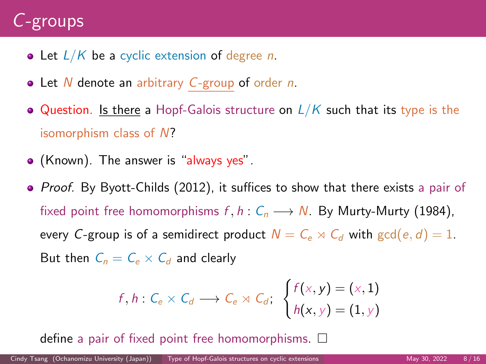# C-groups

- Let  $L/K$  be a cyclic extension of degree n.
- Let N denote an arbitrary C-group of order n.
- Question. Is there a Hopf-Galois structure on  $L/K$  such that its type is the isomorphism class of N?
- (Known). The answer is "always yes".
- Proof. By Byott-Childs (2012), it suffices to show that there exists a pair of fixed point free homomorphisms  $f, h: C_n \longrightarrow N$ . By Murty-Murty (1984), every C-group is of a semidirect product  $N = C_e \rtimes C_d$  with  $gcd(e, d) = 1$ . But then  $C_n = C_e \times C_d$  and clearly

$$
f, h: C_e \times C_d \longrightarrow C_e \rtimes C_d; \begin{cases} f(x, y) = (x, 1) \\ h(x, y) = (1, y) \end{cases}
$$

define a pair of fixed point free homomorphisms.  $\square$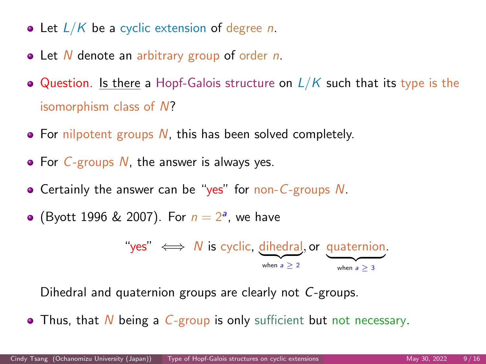- Let  $L/K$  be a cyclic extension of degree n.
- Let N denote an arbitrary group of order n.
- Question. Is there a Hopf-Galois structure on  $L/K$  such that its type is the isomorphism class of N?
- $\bullet$  For nilpotent groups N, this has been solved completely.
- $\bullet$  For C-groups N, the answer is always yes.
- Certainly the answer can be "yes" for non-C-groups  $N$ .
- (Byott 1996 & 2007). For  $n = 2<sup>a</sup>$ , we have

"yes" 
$$
\iff
$$
 N is cyclic, dihedral, or quaternion.  
<sub>when a  $\ge 2$</sub>   $\xrightarrow{\text{when a } \ge 3}$ 

Dihedral and quaternion groups are clearly not C-groups.

 $\bullet$  Thus, that N being a C-group is only sufficient but not necessary.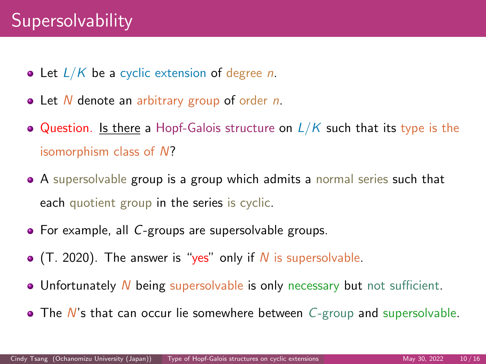# **Supersolvability**

- Let  $L/K$  be a cyclic extension of degree n.
- Let N denote an arbitrary group of order n.
- Question. Is there a Hopf-Galois structure on  $L/K$  such that its type is the isomorphism class of N?
- A supersolvable group is a group which admits a normal series such that each quotient group in the series is cyclic.
- For example, all C-groups are supersolvable groups.
- $\bullet$  (T. 2020). The answer is "yes" only if N is supersolvable.
- Unfortunately N being supersolvable is only necessary but not sufficient.
- $\bullet$  The N's that can occur lie somewhere between  $C$ -group and supersolvable.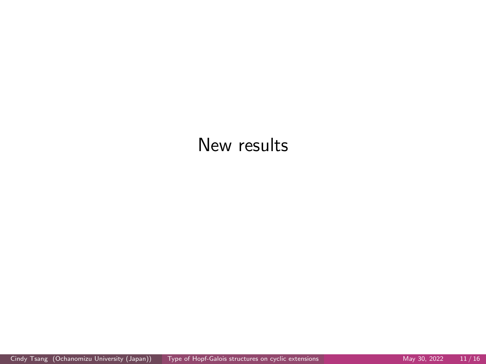### New results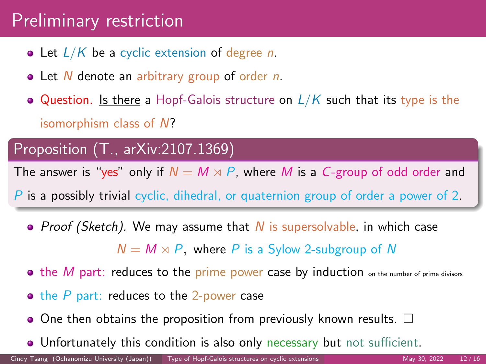# Preliminary restriction

- $\bullet$  Let  $L/K$  be a cyclic extension of degree n.
- Let N denote an arbitrary group of order n.
- Question. Is there a Hopf-Galois structure on  $L/K$  such that its type is the isomorphism class of N?

#### Proposition (T., arXiv:2107.1369)

The answer is "yes" only if  $N = M \rtimes P$ , where M is a C-group of odd order and

- P is a possibly trivial cyclic, dihedral, or quaternion group of order a power of 2.
	- Proof (Sketch). We may assume that N is supersolvable, in which case

 $N = M \rtimes P$ , where P is a Sylow 2-subgroup of N

- $\bullet$  the M part: reduces to the prime power case by induction on the number of prime divisors
- $\bullet$  the P part: reduces to the 2-power case
- $\bullet$  One then obtains the proposition from previously known results.  $\Box$
- Unfortunately this condition is also only necessary but not sufficient.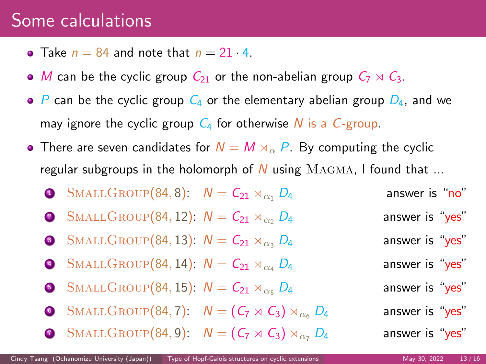#### Some calculations

- Take  $n = 84$  and note that  $n = 21 \cdot 4$ .
- M can be the cyclic group  $C_{21}$  or the non-abelian group  $C_7 \rtimes C_3$ .
- $\bullet$  P can be the cyclic group  $C_4$  or the elementary abelian group  $D_4$ , and we may ignore the cyclic group  $C_4$  for otherwise N is a C-group.
- There are seven candidates for  $N = M \rtimes_{\alpha} P$ . By computing the cyclic regular subgroups in the holomorph of N using  $MAGMA$ , I found that ...
	- **1** SMALLGROUP(84, 8):  $N = C_{21} \rtimes_{\alpha_1} D_4$  answer is "no" 2 SMALLGROUP(84, 12):  $N = C_{21} \rtimes_{\alpha_2} D_4$  answer is "yes" 3 SMALLGROUP(84, 13):  $N = C_{21} \rtimes_{\alpha_2} D_4$  answer is "yes" 4 SMALLGROUP(84, 14):  $N = C_{21} \rtimes_{\alpha_4} D_4$  answer is "yes" **6** SMALLGROUP(84, 15):  $N = C_{21} \rtimes_{\alpha5} D_4$  answer is "yes" 6 SMALLGROUP(84, 7):  $N = (C_7 \rtimes C_3) \rtimes_{C_6} D_4$  answer is "yes"  $\text{SMALLGROUP}(84, 9): \quad N = (C_7 \rtimes C_3) \rtimes_{\alpha_7} D_4$  answer is "yes"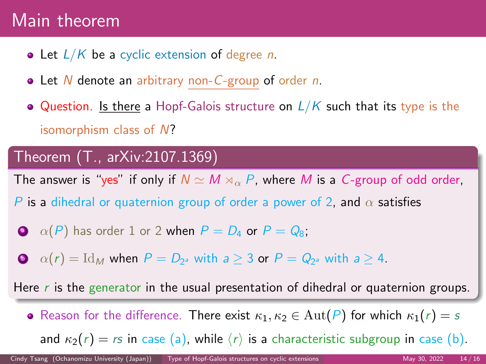## Main theorem

- Let  $L/K$  be a cyclic extension of degree n.
- $\bullet$  Let N denote an arbitrary non-C-group of order n.
- Question. Is there a Hopf-Galois structure on  $L/K$  such that its type is the isomorphism class of N?

#### Theorem (T., arXiv:2107.1369)

The answer is "yes" if only if  $N \simeq M \rtimes_{\alpha} P$ , where M is a C-group of odd order,

- P is a dihedral or quaternion group of order a power of 2, and  $\alpha$  satisfies
- $\circledcirc$   $\alpha(P)$  has order 1 or 2 when  $P = D_4$  or  $P = Q_8$ ;
- $\bullet \quad \alpha(r) = \mathrm{Id}_M$  when  $P = D_{2^a}$  with  $a \geq 3$  or  $P = Q_{2^a}$  with  $a \geq 4$ .

Here r is the generator in the usual presentation of dihedral or quaternion groups.

• Reason for the difference. There exist  $\kappa_1, \kappa_2 \in \text{Aut}(P)$  for which  $\kappa_1(r) = s$ and  $\kappa_2(r) = rs$  in case (a), while  $\langle r \rangle$  is a characteristic subgroup in case (b).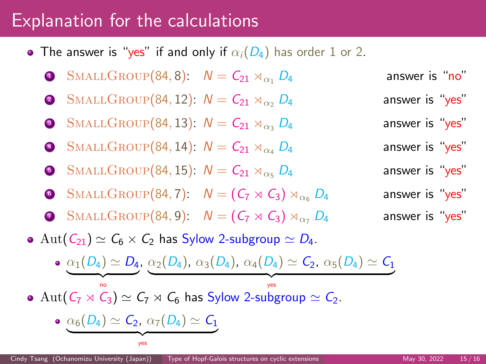## Explanation for the calculations

• The answer is "yes" if and only if  $\alpha_i(D_4)$  has order 1 or 2.

\n- \n**6** SMALLGROUP(84, 8): 
$$
N = C_{21} \rtimes_{\alpha_1} D_4
$$
 answer is "no"\n
\n- \n**9** SMALLGROUP(84, 12):  $N = C_{21} \rtimes_{\alpha_2} D_4$  answer is "yes"\n
\n- \n**9** SMALLGROUP(84, 13):  $N = C_{21} \rtimes_{\alpha_3} D_4$  answer is "yes"\n
\n- \n**9** SMALLGROUP(84, 14):  $N = C_{21} \rtimes_{\alpha_4} D_4$  answer is "yes"\n
\n- \n**9** SMALLGROUP(84, 15):  $N = C_{21} \rtimes_{\alpha_5} D_4$  answer is "yes"\n
\n

 ${\frac{1}{2}}$   ${\frac{1}{2}}$   ${\frac{1}{2}}$   ${\frac{1}{2}}$   ${\frac{1}{2}}$   ${\frac{1}{2}}$   ${\frac{1}{2}}$   ${\frac{1}{2}}$   ${\frac{1}{2}}$   ${\frac{1}{2}}$   ${\frac{1}{2}}$   ${\frac{1}{2}}$   ${\frac{1}{2}}$   ${\frac{1}{2}}$   ${\frac{1}{2}}$   ${\frac{1}{2}}$   ${\frac{1}{2}}$   ${\frac{1}{2}}$   ${\frac{1}{2}}$   ${\frac{1}{2}}$   ${\frac{1}{2}}$   ${\frac{1}{2}}$  yes

- 6 SMALLGROUP(84, 7):  $N = (C_7 \rtimes C_3) \rtimes_{\alpha} D_4$  answer is "yes"
- **3** SMALLGROUP(84, 9):  $N = (C_7 \rtimes C_3) \rtimes_{\alpha_7} D_4$  answer is "yes"

• Aut $(C_{21}) \simeq C_6 \times C_2$  has Sylow 2-subgroup  $\simeq D_4$ .

 $\alpha_1(D_4)\simeq D_4$ ,  $\alpha_2(D_4)$ ,  $\alpha_3(D_4)$ ,  $\alpha_4(D_4)\simeq \mathcal{C}_2$ ,  $\alpha_5(D_4)\simeq \mathcal{C}_1$ 

• Aut( $C_7 \rtimes C_3$ )  $\simeq C_7 \rtimes C_6$  has Sylow 2-subgroup  $\simeq C_2$ .

$$
\bullet \ \ \underbrace{\alpha_6(D_4) \simeq C_2,\ \alpha_7(D_4) \simeq C_1}_{\text{ves}}
$$

 $\frac{1}{2}$   $\frac{1}{2}$   $\frac{1}{2}$   $\frac{1}{2}$   $\frac{1}{2}$   $\frac{1}{2}$   $\frac{1}{2}$   $\frac{1}{2}$   $\frac{1}{2}$   $\frac{1}{2}$   $\frac{1}{2}$   $\frac{1}{2}$   $\frac{1}{2}$   $\frac{1}{2}$   $\frac{1}{2}$   $\frac{1}{2}$   $\frac{1}{2}$   $\frac{1}{2}$   $\frac{1}{2}$   $\frac{1}{2}$   $\frac{1}{2}$   $\frac{1}{2}$  no